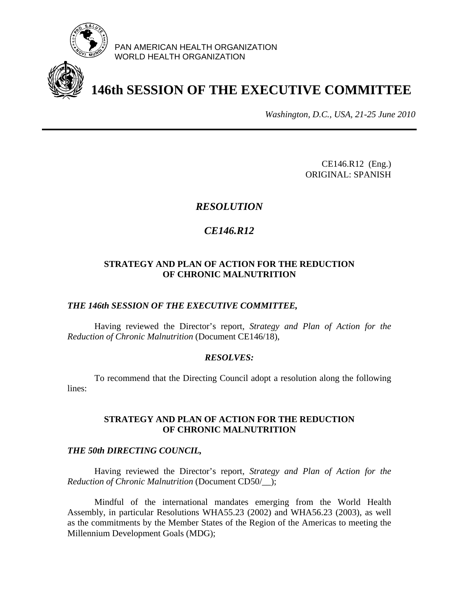

PAN AMERICAN HEALTH ORGANIZATION WORLD HEALTH ORGANIZATION

# **146th SESSION OF THE EXECUTIVE COMMITTEE**

*Washington, D.C., USA, 21-25 June 2010*

CE146.R12 (Eng.) ORIGINAL: SPANISH

## *RESOLUTION*

# *CE146.R12*

### **STRATEGY AND PLAN OF ACTION FOR THE REDUCTION OF CHRONIC MALNUTRITION**

### *THE 146th SESSION OF THE EXECUTIVE COMMITTEE,*

 Having reviewed the Director's report, *Strategy and Plan of Action for the Reduction of Chronic Malnutrition* (Document CE146/18),

#### *RESOLVES:*

 To recommend that the Directing Council adopt a resolution along the following lines:

#### **STRATEGY AND PLAN OF ACTION FOR THE REDUCTION OF CHRONIC MALNUTRITION**

#### *THE 50th DIRECTING COUNCIL,*

 Having reviewed the Director's report, *Strategy and Plan of Action for the Reduction of Chronic Malnutrition* (Document CD50/\_\_);

 Mindful of the international mandates emerging from the World Health Assembly, in particular Resolutions WHA55.23 (2002) and WHA56.23 (2003), as well as the commitments by the Member States of the Region of the Americas to meeting the Millennium Development Goals (MDG);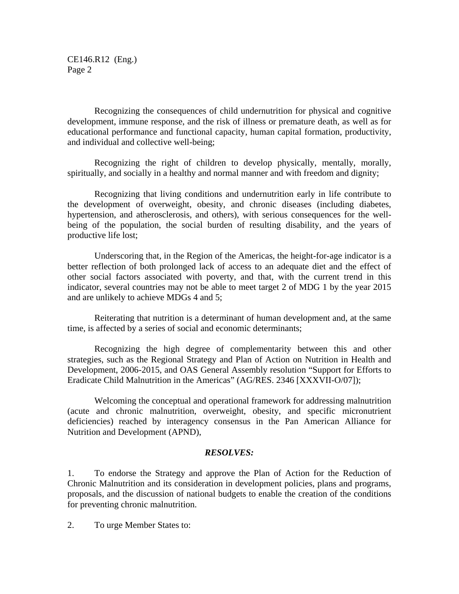CE146.R12 (Eng.) Page 2

 Recognizing the consequences of child undernutrition for physical and cognitive development, immune response, and the risk of illness or premature death, as well as for educational performance and functional capacity, human capital formation, productivity, and individual and collective well-being;

 Recognizing the right of children to develop physically, mentally, morally, spiritually, and socially in a healthy and normal manner and with freedom and dignity;

 Recognizing that living conditions and undernutrition early in life contribute to the development of overweight, obesity, and chronic diseases (including diabetes, hypertension, and atherosclerosis, and others), with serious consequences for the wellbeing of the population, the social burden of resulting disability, and the years of productive life lost;

 Underscoring that, in the Region of the Americas, the height-for-age indicator is a better reflection of both prolonged lack of access to an adequate diet and the effect of other social factors associated with poverty, and that, with the current trend in this indicator, several countries may not be able to meet target 2 of MDG 1 by the year 2015 and are unlikely to achieve MDGs 4 and 5;

 Reiterating that nutrition is a determinant of human development and, at the same time, is affected by a series of social and economic determinants;

 Recognizing the high degree of complementarity between this and other strategies, such as the Regional Strategy and Plan of Action on Nutrition in Health and Development, 2006-2015, and OAS General Assembly resolution "Support for Efforts to Eradicate Child Malnutrition in the Americas" (AG/RES. 2346 [XXXVII-O/07]);

 Welcoming the conceptual and operational framework for addressing malnutrition (acute and chronic malnutrition, overweight, obesity, and specific micronutrient deficiencies) reached by interagency consensus in the Pan American Alliance for Nutrition and Development (APND),

#### *RESOLVES:*

1. To endorse the Strategy and approve the Plan of Action for the Reduction of Chronic Malnutrition and its consideration in development policies, plans and programs, proposals, and the discussion of national budgets to enable the creation of the conditions for preventing chronic malnutrition.

2. To urge Member States to: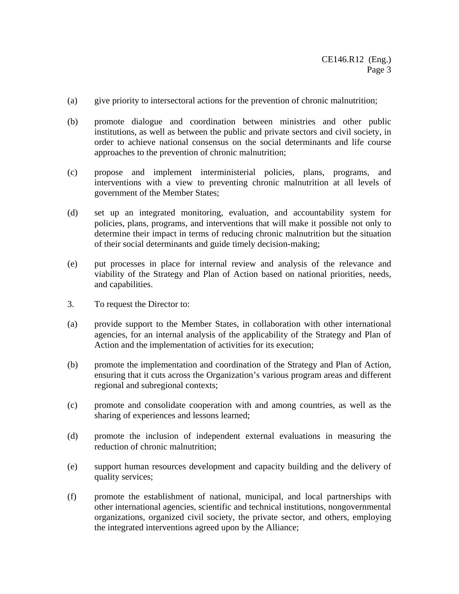- (a) give priority to intersectoral actions for the prevention of chronic malnutrition;
- (b) promote dialogue and coordination between ministries and other public institutions, as well as between the public and private sectors and civil society, in order to achieve national consensus on the social determinants and life course approaches to the prevention of chronic malnutrition;
- (c) propose and implement interministerial policies, plans, programs, and interventions with a view to preventing chronic malnutrition at all levels of government of the Member States;
- (d) set up an integrated monitoring, evaluation, and accountability system for policies, plans, programs, and interventions that will make it possible not only to determine their impact in terms of reducing chronic malnutrition but the situation of their social determinants and guide timely decision-making;
- (e) put processes in place for internal review and analysis of the relevance and viability of the Strategy and Plan of Action based on national priorities, needs, and capabilities.
- 3. To request the Director to:
- (a) provide support to the Member States, in collaboration with other international agencies, for an internal analysis of the applicability of the Strategy and Plan of Action and the implementation of activities for its execution;
- (b) promote the implementation and coordination of the Strategy and Plan of Action, ensuring that it cuts across the Organization's various program areas and different regional and subregional contexts;
- (c) promote and consolidate cooperation with and among countries, as well as the sharing of experiences and lessons learned;
- (d) promote the inclusion of independent external evaluations in measuring the reduction of chronic malnutrition;
- (e) support human resources development and capacity building and the delivery of quality services;
- (f) promote the establishment of national, municipal, and local partnerships with other international agencies, scientific and technical institutions, nongovernmental organizations, organized civil society, the private sector, and others, employing the integrated interventions agreed upon by the Alliance;